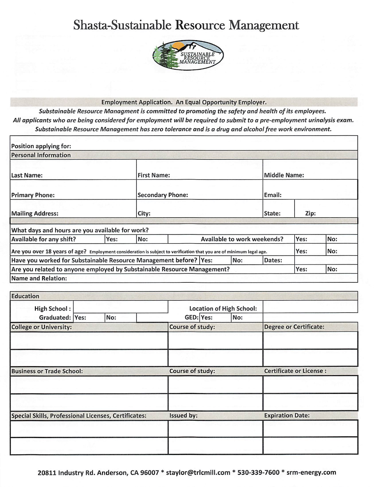# Shasta-Sustainable Resource Management



#### **Employment Application. An Equal Opportunity Employer.**

Substainable Resource Managment is committed to promoting the safety and health of its employees. All applicants who are being considered for employment will be required to submit to a pre-employment urinalysis exam. Substainable Resource Management has zero tolerance and is a drug and alcohol free work environment.

| Position applying for:                                                                                               |      |                         |                             |  |        |              |     |  |
|----------------------------------------------------------------------------------------------------------------------|------|-------------------------|-----------------------------|--|--------|--------------|-----|--|
| <b>Personal Information</b>                                                                                          |      |                         |                             |  |        |              |     |  |
| Last Name:                                                                                                           |      | <b>First Name:</b>      |                             |  |        | Middle Name: |     |  |
| <b>Primary Phone:</b>                                                                                                |      | <b>Secondary Phone:</b> |                             |  | Email: |              |     |  |
| <b>Mailing Address:</b>                                                                                              |      | City:<br>State:         |                             |  |        | Zip:         |     |  |
| What days and hours are you available for work?                                                                      |      |                         |                             |  |        |              |     |  |
| Available for any shift?                                                                                             | Yes: | No:                     | Available to work weekends? |  |        | Yes:         | No: |  |
| Are you over 18 years of age? Employment consideration is subject to verification that you are of minimum legal age. |      |                         |                             |  |        | Yes:         | No: |  |
| Have you worked for Substainable Resource Management before?   Yes:<br>No:<br>Dates:                                 |      |                         |                             |  |        |              |     |  |
| Are you related to anyone employed by Substainable Resource Management?                                              |      |                         |                             |  | Yes:   | No:          |     |  |
| Name and Relation:                                                                                                   |      |                         |                             |  |        |              |     |  |

| <b>Education</b>                                            |  |     |                         |                                 |  |                                |                               |  |
|-------------------------------------------------------------|--|-----|-------------------------|---------------------------------|--|--------------------------------|-------------------------------|--|
| <b>High School:</b>                                         |  |     |                         | <b>Location of High School:</b> |  |                                |                               |  |
| Graduated: Yes:                                             |  | No: |                         | GED: Yes:<br>No:                |  |                                |                               |  |
| <b>College or University:</b>                               |  |     |                         | Course of study:                |  |                                | <b>Degree or Certificate:</b> |  |
|                                                             |  |     |                         |                                 |  |                                |                               |  |
| <b>Business or Trade School:</b>                            |  |     | <b>Course of study:</b> |                                 |  | <b>Certificate or License:</b> |                               |  |
|                                                             |  |     |                         |                                 |  |                                |                               |  |
| <b>Special Skills, Professional Licenses, Certificates:</b> |  |     |                         | Issued by:                      |  |                                | <b>Expiration Date:</b>       |  |
|                                                             |  |     |                         |                                 |  |                                |                               |  |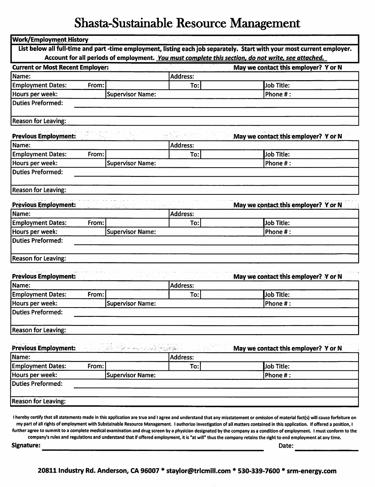# Shasta-Sustainable Resource Management

| <b>Work/Employment History</b>          |                                     |                 |                                                                                                                                                                                                                                                                                                                                                                 |  |
|-----------------------------------------|-------------------------------------|-----------------|-----------------------------------------------------------------------------------------------------------------------------------------------------------------------------------------------------------------------------------------------------------------------------------------------------------------------------------------------------------------|--|
|                                         |                                     |                 | List below all full-time and part -time employment, listing each job separately. Start with your most current employer.<br>Account for all periods of employment. You must complete this section, do not write, see attached.                                                                                                                                   |  |
| <b>Current or Most Recent Employer:</b> |                                     |                 | May we contact this employer? Y or N                                                                                                                                                                                                                                                                                                                            |  |
| Name:                                   |                                     | <b>Address:</b> |                                                                                                                                                                                                                                                                                                                                                                 |  |
| <b>Employment Dates:</b><br>From:       |                                     | To:             | Job Title:                                                                                                                                                                                                                                                                                                                                                      |  |
| Hours per week:                         | <b>Supervisor Name:</b>             |                 | Phone #:                                                                                                                                                                                                                                                                                                                                                        |  |
| <b>Duties Preformed:</b>                |                                     |                 |                                                                                                                                                                                                                                                                                                                                                                 |  |
|                                         |                                     |                 |                                                                                                                                                                                                                                                                                                                                                                 |  |
| <b>Reason for Leaving:</b>              |                                     |                 |                                                                                                                                                                                                                                                                                                                                                                 |  |
| <b>Previous Employment:</b>             |                                     |                 | May we contact this employer? Yor N                                                                                                                                                                                                                                                                                                                             |  |
| Name:                                   |                                     | <b>Address:</b> |                                                                                                                                                                                                                                                                                                                                                                 |  |
| <b>Employment Dates:</b><br>From:       |                                     | To:             | Job Title:                                                                                                                                                                                                                                                                                                                                                      |  |
| Hours per week:                         | <b>Supervisor Name:</b>             |                 | Phone #:                                                                                                                                                                                                                                                                                                                                                        |  |
| <b>Duties Preformed:</b>                |                                     |                 |                                                                                                                                                                                                                                                                                                                                                                 |  |
|                                         |                                     |                 |                                                                                                                                                                                                                                                                                                                                                                 |  |
| <b>Reason for Leaving:</b>              |                                     |                 |                                                                                                                                                                                                                                                                                                                                                                 |  |
| <b>Previous Employment:</b>             |                                     |                 | May we contact this employer? Yor N                                                                                                                                                                                                                                                                                                                             |  |
| Name:                                   |                                     | Address:        |                                                                                                                                                                                                                                                                                                                                                                 |  |
| <b>Employment Dates:</b><br>From:       |                                     | To:             | <b>Job Title:</b>                                                                                                                                                                                                                                                                                                                                               |  |
| Hours per week:                         | <b>Supervisor Name:</b>             |                 | Phone #:                                                                                                                                                                                                                                                                                                                                                        |  |
| <b>Duties Preformed:</b>                |                                     |                 |                                                                                                                                                                                                                                                                                                                                                                 |  |
| <b>Reason for Leaving:</b>              |                                     |                 |                                                                                                                                                                                                                                                                                                                                                                 |  |
|                                         |                                     |                 |                                                                                                                                                                                                                                                                                                                                                                 |  |
| <b>Previous Employment:</b>             |                                     |                 | May we contact this employer? Y or N                                                                                                                                                                                                                                                                                                                            |  |
| Name:                                   |                                     | <b>Address:</b> |                                                                                                                                                                                                                                                                                                                                                                 |  |
| <b>Employment Dates:</b><br>From:       |                                     | To:             | <b>Job Title:</b>                                                                                                                                                                                                                                                                                                                                               |  |
| Hours per week:                         | <b>Supervisor Name:</b>             |                 | Phone #:                                                                                                                                                                                                                                                                                                                                                        |  |
| <b>Duties Preformed:</b>                |                                     |                 |                                                                                                                                                                                                                                                                                                                                                                 |  |
|                                         |                                     |                 |                                                                                                                                                                                                                                                                                                                                                                 |  |
| <b>Reason for Leaving:</b>              |                                     |                 |                                                                                                                                                                                                                                                                                                                                                                 |  |
| <b>Previous Employment:</b>             |                                     | ್ರಾಮಭೋ          | May we contact this employer? Yor N                                                                                                                                                                                                                                                                                                                             |  |
| Name:                                   |                                     | Address:        |                                                                                                                                                                                                                                                                                                                                                                 |  |
| <b>Employment Dates:</b><br>From:       |                                     | To:             | <b>Job Title:</b>                                                                                                                                                                                                                                                                                                                                               |  |
| Hours per week:                         | <b>Supervisor Name:</b><br>Phone #: |                 |                                                                                                                                                                                                                                                                                                                                                                 |  |
| <b>Duties Preformed:</b>                |                                     |                 |                                                                                                                                                                                                                                                                                                                                                                 |  |
|                                         |                                     |                 |                                                                                                                                                                                                                                                                                                                                                                 |  |
| <b>Reason for Leaving:</b>              |                                     |                 |                                                                                                                                                                                                                                                                                                                                                                 |  |
|                                         |                                     |                 | I hereby certify that all statements made in this application are true and I agree and understand that any misstatement or omission of material fact(s) will cause forfeiture on<br>my part of all rights of employment with Substainable Resource Management. I authorize investigation of all matters contained in this application. If offered a position, I |  |

further agree to summit to a complete medical examination and drug screen by a physician designated by the company as a condition of employment. I must conform to the company's rules and regulations and understand that if offered employment, it is "at will" thus the company retains the right to end employment at any time.

**Signature:** 

Date:  $\frac{ }{ }$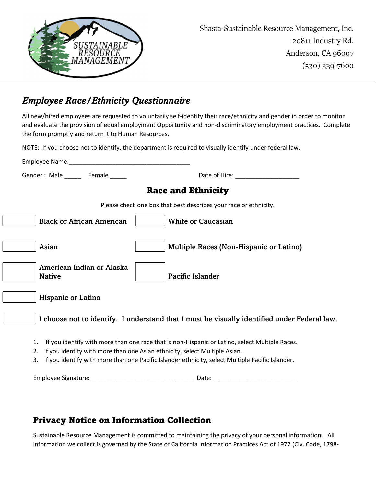

### Employee Race/Ethnicity Questionnaire

All new/hired employees are requested to voluntarily self-identity their race/ethnicity and gender in order to monitor and evaluate the provision of equal employment Opportunity and non-discriminatory employment practices. Complete the form promptly and return it to Human Resources.

NOTE: If you choose not to identify, the department is required to visually identify under federal law.

| Gender: Male _______ Female ______         | Date of Hire: The contract of the contract of the contract of the contract of the contract of the contract of the contract of the contract of the contract of the contract of the contract of the contract of the contract of                                                    |
|--------------------------------------------|----------------------------------------------------------------------------------------------------------------------------------------------------------------------------------------------------------------------------------------------------------------------------------|
|                                            | <b>Race and Ethnicity</b>                                                                                                                                                                                                                                                        |
|                                            | Please check one box that best describes your race or ethnicity.                                                                                                                                                                                                                 |
| <b>Black or African American</b>           | <b>White or Caucasian</b>                                                                                                                                                                                                                                                        |
| Asian                                      | Multiple Races (Non-Hispanic or Latino)                                                                                                                                                                                                                                          |
| American Indian or Alaska<br><b>Native</b> | Pacific Islander                                                                                                                                                                                                                                                                 |
| <b>Hispanic or Latino</b>                  |                                                                                                                                                                                                                                                                                  |
|                                            | I choose not to identify. I understand that I must be visually identified under Federal law.                                                                                                                                                                                     |
| 1.<br>2.<br>3.                             | If you identify with more than one race that is non-Hispanic or Latino, select Multiple Races.<br>If you identity with more than one Asian ethnicity, select Multiple Asian.<br>If you identify with more than one Pacific Islander ethnicity, select Multiple Pacific Islander. |
|                                            |                                                                                                                                                                                                                                                                                  |

### Privacy Notice on Information Collection

Sustainable Resource Management is committed to maintaining the privacy of your personal information. All information we collect is governed by the State of California Information Practices Act of 1977 (Civ. Code, 1798-